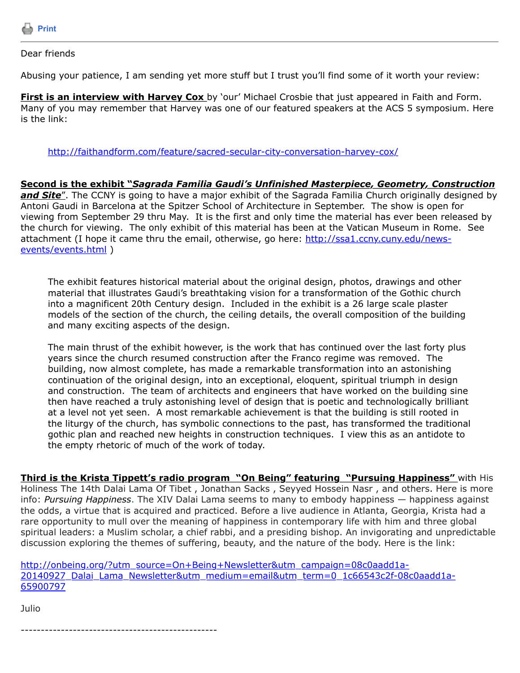

## Dear friends

Abusing your patience, I am sending yet more stuff but I trust you'll find some of it worth your review:

**First is an interview with Harvey Cox** by 'our' Michael Crosbie that just appeared in Faith and Form. Many of you may remember that Harvey was one of our featured speakers at the ACS 5 symposium. Here is the link:

<http://faithandform.com/feature/sacred-secular-city-conversation-harvey-cox/>

**Second is the exhibit "***Sagrada Familia Gaudi's Unfinished Masterpiece, Geometry, Construction* and Site". The CCNY is going to have a major exhibit of the Sagrada Familia Church originally designed by Antoni Gaudi in Barcelona at the Spitzer School of Architecture in September. The show is open for viewing from September 29 thru May. It is the first and only time the material has ever been released by the church for viewing. The only exhibit of this material has been at the Vatican Museum in Rome. See [attachment \(I hope it came thru the email, otherwise, go here: http://ssa1.ccny.cuny.edu/news](http://ssa1.ccny.cuny.edu/news-events/events.html)events/events.html )

The exhibit features historical material about the original design, photos, drawings and other material that illustrates Gaudi's breathtaking vision for a transformation of the Gothic church into a magnificent 20th Century design. Included in the exhibit is a 26 large scale plaster models of the section of the church, the ceiling details, the overall composition of the building and many exciting aspects of the design.

The main thrust of the exhibit however, is the work that has continued over the last forty plus years since the church resumed construction after the Franco regime was removed. The building, now almost complete, has made a remarkable transformation into an astonishing continuation of the original design, into an exceptional, eloquent, spiritual triumph in design and construction. The team of architects and engineers that have worked on the building sine then have reached a truly astonishing level of design that is poetic and technologically brilliant at a level not yet seen. A most remarkable achievement is that the building is still rooted in the liturgy of the church, has symbolic connections to the past, has transformed the traditional gothic plan and reached new heights in construction techniques. I view this as an antidote to the empty rhetoric of much of the work of today.

**Third is the Krista Tippett's radio program "On Being" featuring "Pursuing Happiness"** with His Holiness The 14th Dalai Lama Of Tibet , Jonathan Sacks , Seyyed Hossein Nasr , and others. Here is more info: *Pursuing Happiness*. The XIV Dalai Lama seems to many to embody happiness — happiness against the odds, a virtue that is acquired and practiced. Before a live audience in Atlanta, Georgia, Krista had a rare opportunity to mull over the meaning of happiness in contemporary life with him and three global spiritual leaders: a Muslim scholar, a chief rabbi, and a presiding bishop. An invigorating and unpredictable discussion exploring the themes of suffering, beauty, and the nature of the body. Here is the link:

http://onbeing.org/?utm\_source=On+Being+Newsletter&utm\_campaign=08c0aadd1a-[20140927\\_Dalai\\_Lama\\_Newsletter&utm\\_medium=email&utm\\_term=0\\_1c66543c2f-08c0aadd1a-](http://onbeing.org/?utm_source=On+Being+Newsletter&utm_campaign=08c0aadd1a-20140927_Dalai_Lama_Newsletter&utm_medium=email&utm_term=0_1c66543c2f-08c0aadd1a-65900797)65900797

Julio

-------------------------------------------------